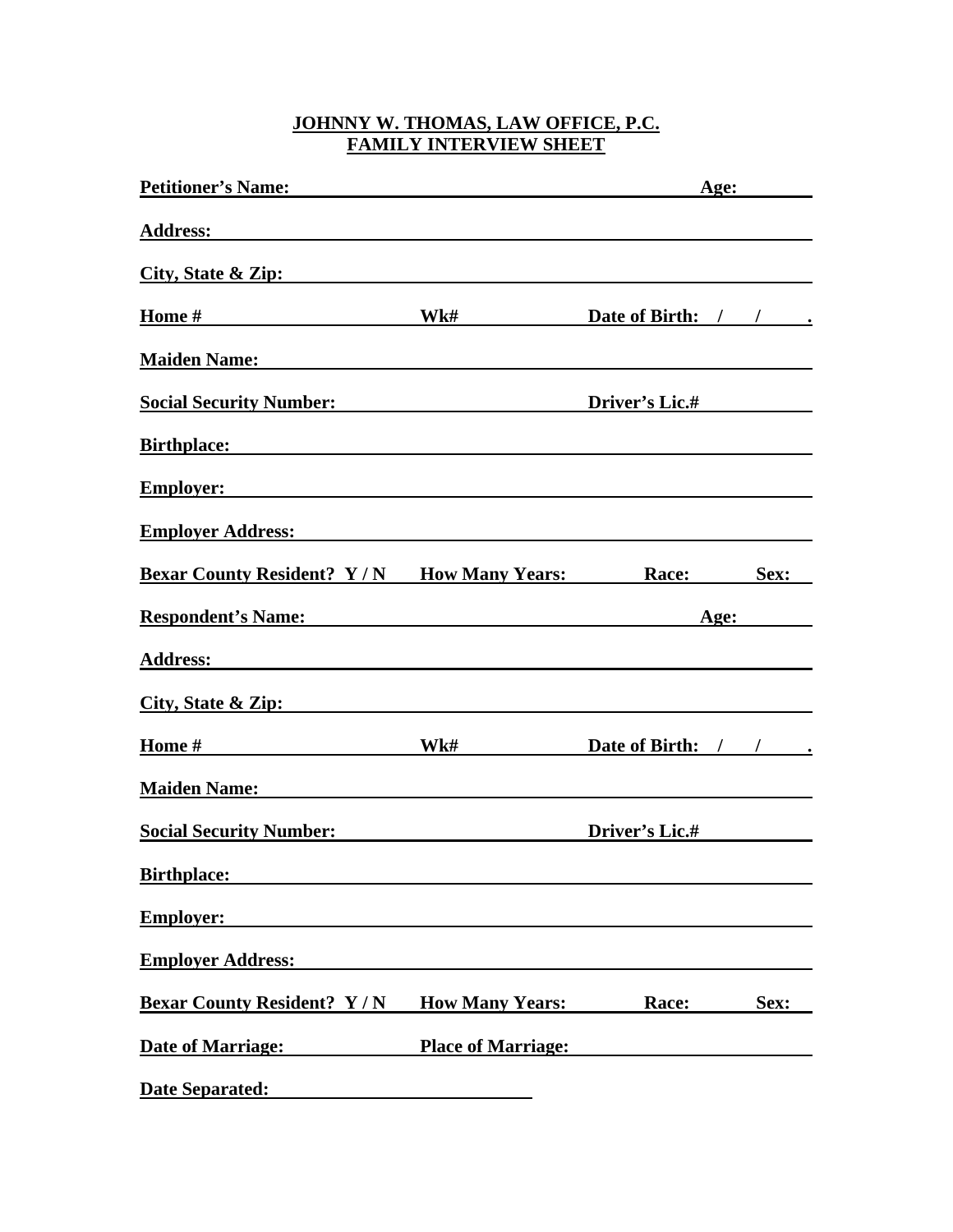## **JOHNNY W. THOMAS, LAW OFFICE, P.C. FAMILY INTERVIEW SHEET**

| <b>Petitioner's Name:</b> The Contract of the Contract of the Contract of the Contract of the Contract of the Contract of the Contract of the Contract of the Contract of the Contract of the Contract of the Contract of the Contr |                                                  | Age:                  |      |
|-------------------------------------------------------------------------------------------------------------------------------------------------------------------------------------------------------------------------------------|--------------------------------------------------|-----------------------|------|
|                                                                                                                                                                                                                                     |                                                  |                       |      |
| City, State & Zip:                                                                                                                                                                                                                  |                                                  |                       |      |
| Home $\#$ Wk#                                                                                                                                                                                                                       |                                                  | Date of Birth: / / .  |      |
| <b>Maiden Name:</b> Manual Manual Manual Manual Manual Manual Manual Manual Manual Manual Manual Manual Manual Manual Ma                                                                                                            |                                                  |                       |      |
| <b>Social Security Number:</b> Social Security Number:                                                                                                                                                                              |                                                  | <b>Driver's Lic.#</b> |      |
| Birthplace: <u>Discovered</u> and the set of the set of the set of the set of the set of the set of the set of the set of the set of the set of the set of the set of the set of the set of the set of the set of the set of the se |                                                  |                       |      |
| <b>Employer:</b> <u>Employer</u> <b>Employer Employer Employer Employer Employer Employer Employer Employer Employer Employer Employer EMPLOYER</b>                                                                                 |                                                  |                       |      |
| Employer Address: No. 1996. The Contract of the Contract of the Contract of the Contract of the Contract of the Contract of the Contract of the Contract of the Contract of the Contract of the Contract of the Contract of th      |                                                  |                       |      |
| <b>Bexar County Resident?</b> Y/N How Many Years:                                                                                                                                                                                   |                                                  | Race:                 | Sex: |
| <b>Respondent's Name:</b> Name:                                                                                                                                                                                                     |                                                  | Age:                  |      |
| Address: Andreas Address: Address: Address: Address: Address: Address: Address: Address: Address: Address: Address: Address: Address: Address: Address: Address: Address: Address: Address: Address: Address: Address: Address      |                                                  |                       |      |
| City, State & Zip:                                                                                                                                                                                                                  |                                                  |                       |      |
|                                                                                                                                                                                                                                     | Wk#                                              | Date of Birth: / / .  |      |
| <b>Maiden Name:</b> Manual Manual Manual Manual Manual Manual Manual Manual Manual Manual Manual Manual Manual Manual Ma                                                                                                            |                                                  |                       |      |
| <b>Social Security Number:</b> Social Security Number:                                                                                                                                                                              |                                                  | <b>Driver's Lic.#</b> |      |
| <b>Birthplace:</b>                                                                                                                                                                                                                  |                                                  |                       |      |
| <b>Employer:</b>                                                                                                                                                                                                                    |                                                  |                       |      |
| <b>Employer Address:</b>                                                                                                                                                                                                            |                                                  |                       |      |
| <b>Bexar County Resident? Y/N</b>                                                                                                                                                                                                   | <b>How Many Years:</b>                           | Race:                 | Sex: |
| <b>Date of Marriage:</b>                                                                                                                                                                                                            | <b>Place of Marriage:</b>                        |                       |      |
| <b>Date Separated:</b>                                                                                                                                                                                                              | <u> 1980 - Jan Barbara Barbara, prima popula</u> |                       |      |